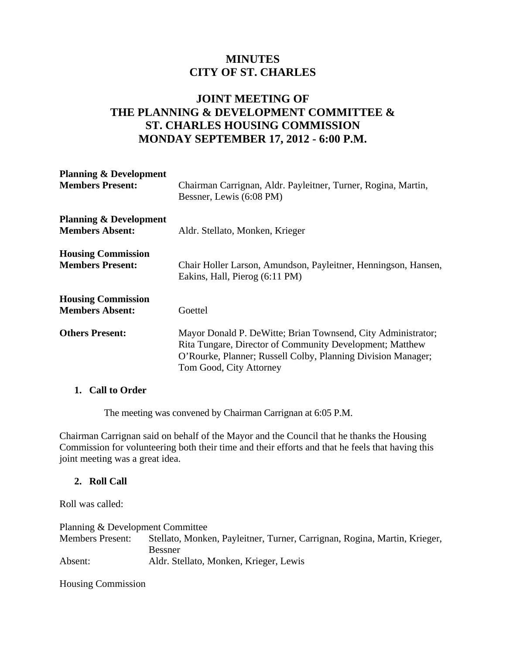# **MINUTES CITY OF ST. CHARLES**

## **JOINT MEETING OF THE PLANNING & DEVELOPMENT COMMITTEE & ST. CHARLES HOUSING COMMISSION MONDAY SEPTEMBER 17, 2012 - 6:00 P.M.**

| <b>Planning &amp; Development</b><br><b>Members Present:</b> | Chairman Carrignan, Aldr. Payleitner, Turner, Rogina, Martin,<br>Bessner, Lewis (6:08 PM)                                                                                                                            |
|--------------------------------------------------------------|----------------------------------------------------------------------------------------------------------------------------------------------------------------------------------------------------------------------|
| <b>Planning &amp; Development</b><br><b>Members Absent:</b>  | Aldr. Stellato, Monken, Krieger                                                                                                                                                                                      |
| <b>Housing Commission</b><br><b>Members Present:</b>         | Chair Holler Larson, Amundson, Payleitner, Henningson, Hansen,<br>Eakins, Hall, Pierog (6:11 PM)                                                                                                                     |
| <b>Housing Commission</b><br><b>Members Absent:</b>          | Goettel                                                                                                                                                                                                              |
| <b>Others Present:</b>                                       | Mayor Donald P. De Witte; Brian Townsend, City Administrator;<br>Rita Tungare, Director of Community Development; Matthew<br>O'Rourke, Planner; Russell Colby, Planning Division Manager;<br>Tom Good, City Attorney |

#### **1. Call to Order**

The meeting was convened by Chairman Carrignan at 6:05 P.M.

Chairman Carrignan said on behalf of the Mayor and the Council that he thanks the Housing Commission for volunteering both their time and their efforts and that he feels that having this joint meeting was a great idea.

#### **2. Roll Call**

Roll was called:

Planning & Development Committee Members Present: Stellato, Monken, Payleitner, Turner, Carrignan, Rogina, Martin, Krieger, Bessner Absent: Aldr. Stellato, Monken, Krieger, Lewis

Housing Commission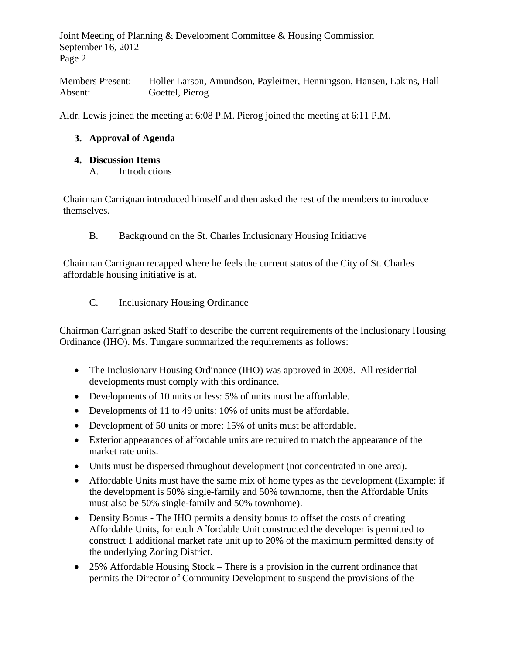Members Present: Holler Larson, Amundson, Payleitner, Henningson, Hansen, Eakins, Hall Absent: Goettel, Pierog

Aldr. Lewis joined the meeting at 6:08 P.M. Pierog joined the meeting at 6:11 P.M.

### **3. Approval of Agenda**

#### **4. Discussion Items**

A. Introductions

Chairman Carrignan introduced himself and then asked the rest of the members to introduce themselves.

B. Background on the St. Charles Inclusionary Housing Initiative

Chairman Carrignan recapped where he feels the current status of the City of St. Charles affordable housing initiative is at.

C. Inclusionary Housing Ordinance

Chairman Carrignan asked Staff to describe the current requirements of the Inclusionary Housing Ordinance (IHO). Ms. Tungare summarized the requirements as follows:

- The Inclusionary Housing Ordinance (IHO) was approved in 2008. All residential developments must comply with this ordinance.
- Developments of 10 units or less: 5% of units must be affordable.
- Developments of 11 to 49 units: 10% of units must be affordable.
- Development of 50 units or more: 15% of units must be affordable.
- Exterior appearances of affordable units are required to match the appearance of the market rate units.
- Units must be dispersed throughout development (not concentrated in one area).
- Affordable Units must have the same mix of home types as the development (Example: if the development is 50% single-family and 50% townhome, then the Affordable Units must also be 50% single-family and 50% townhome).
- Density Bonus The IHO permits a density bonus to offset the costs of creating Affordable Units, for each Affordable Unit constructed the developer is permitted to construct 1 additional market rate unit up to 20% of the maximum permitted density of the underlying Zoning District.
- 25% Affordable Housing Stock There is a provision in the current ordinance that permits the Director of Community Development to suspend the provisions of the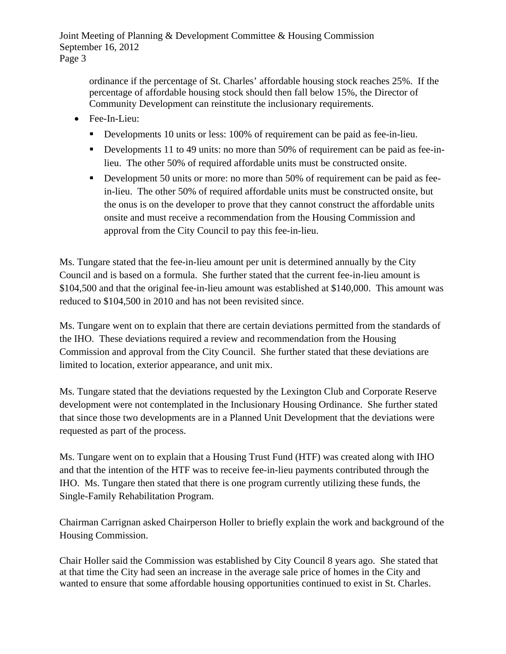ordinance if the percentage of St. Charles' affordable housing stock reaches 25%. If the percentage of affordable housing stock should then fall below 15%, the Director of Community Development can reinstitute the inclusionary requirements.

- Fee-In-Lieu:
	- Developments 10 units or less: 100% of requirement can be paid as fee-in-lieu.
	- Developments 11 to 49 units: no more than 50% of requirement can be paid as fee-inlieu. The other 50% of required affordable units must be constructed onsite.
	- Development 50 units or more: no more than 50% of requirement can be paid as feein-lieu. The other 50% of required affordable units must be constructed onsite, but the onus is on the developer to prove that they cannot construct the affordable units onsite and must receive a recommendation from the Housing Commission and approval from the City Council to pay this fee-in-lieu.

Ms. Tungare stated that the fee-in-lieu amount per unit is determined annually by the City Council and is based on a formula. She further stated that the current fee-in-lieu amount is \$104,500 and that the original fee-in-lieu amount was established at \$140,000. This amount was reduced to \$104,500 in 2010 and has not been revisited since.

Ms. Tungare went on to explain that there are certain deviations permitted from the standards of the IHO. These deviations required a review and recommendation from the Housing Commission and approval from the City Council. She further stated that these deviations are limited to location, exterior appearance, and unit mix.

Ms. Tungare stated that the deviations requested by the Lexington Club and Corporate Reserve development were not contemplated in the Inclusionary Housing Ordinance. She further stated that since those two developments are in a Planned Unit Development that the deviations were requested as part of the process.

Ms. Tungare went on to explain that a Housing Trust Fund (HTF) was created along with IHO and that the intention of the HTF was to receive fee-in-lieu payments contributed through the IHO. Ms. Tungare then stated that there is one program currently utilizing these funds, the Single-Family Rehabilitation Program.

Chairman Carrignan asked Chairperson Holler to briefly explain the work and background of the Housing Commission.

Chair Holler said the Commission was established by City Council 8 years ago. She stated that at that time the City had seen an increase in the average sale price of homes in the City and wanted to ensure that some affordable housing opportunities continued to exist in St. Charles.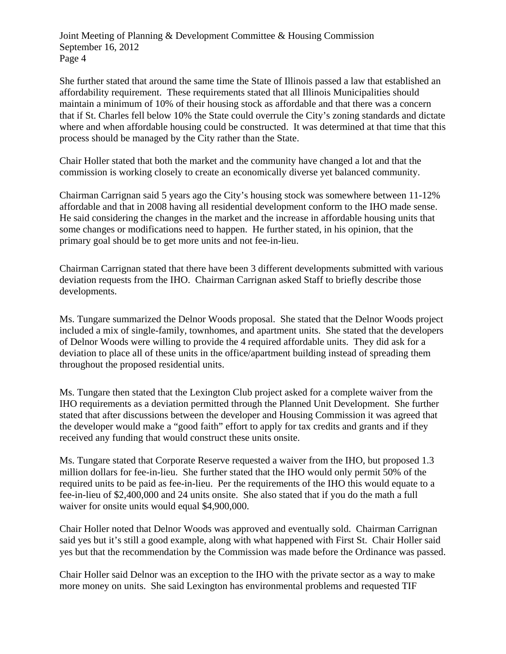She further stated that around the same time the State of Illinois passed a law that established an affordability requirement. These requirements stated that all Illinois Municipalities should maintain a minimum of 10% of their housing stock as affordable and that there was a concern that if St. Charles fell below 10% the State could overrule the City's zoning standards and dictate where and when affordable housing could be constructed. It was determined at that time that this process should be managed by the City rather than the State.

Chair Holler stated that both the market and the community have changed a lot and that the commission is working closely to create an economically diverse yet balanced community.

Chairman Carrignan said 5 years ago the City's housing stock was somewhere between 11-12% affordable and that in 2008 having all residential development conform to the IHO made sense. He said considering the changes in the market and the increase in affordable housing units that some changes or modifications need to happen. He further stated, in his opinion, that the primary goal should be to get more units and not fee-in-lieu.

Chairman Carrignan stated that there have been 3 different developments submitted with various deviation requests from the IHO. Chairman Carrignan asked Staff to briefly describe those developments.

Ms. Tungare summarized the Delnor Woods proposal. She stated that the Delnor Woods project included a mix of single-family, townhomes, and apartment units. She stated that the developers of Delnor Woods were willing to provide the 4 required affordable units. They did ask for a deviation to place all of these units in the office/apartment building instead of spreading them throughout the proposed residential units.

Ms. Tungare then stated that the Lexington Club project asked for a complete waiver from the IHO requirements as a deviation permitted through the Planned Unit Development. She further stated that after discussions between the developer and Housing Commission it was agreed that the developer would make a "good faith" effort to apply for tax credits and grants and if they received any funding that would construct these units onsite.

Ms. Tungare stated that Corporate Reserve requested a waiver from the IHO, but proposed 1.3 million dollars for fee-in-lieu. She further stated that the IHO would only permit 50% of the required units to be paid as fee-in-lieu. Per the requirements of the IHO this would equate to a fee-in-lieu of \$2,400,000 and 24 units onsite. She also stated that if you do the math a full waiver for onsite units would equal \$4,900,000.

Chair Holler noted that Delnor Woods was approved and eventually sold. Chairman Carrignan said yes but it's still a good example, along with what happened with First St. Chair Holler said yes but that the recommendation by the Commission was made before the Ordinance was passed.

Chair Holler said Delnor was an exception to the IHO with the private sector as a way to make more money on units. She said Lexington has environmental problems and requested TIF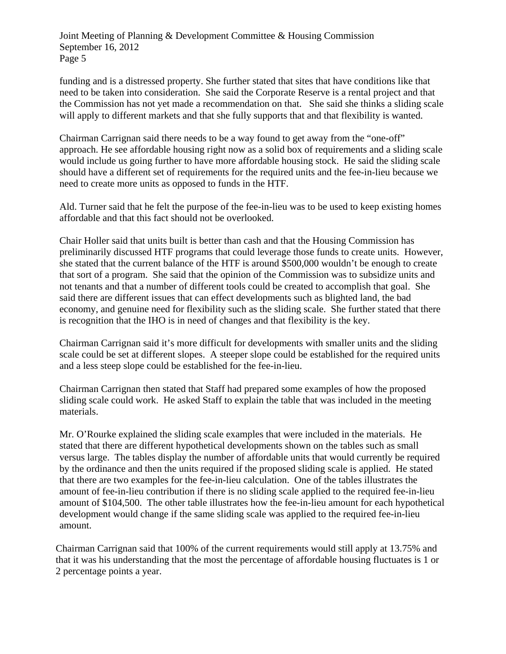funding and is a distressed property. She further stated that sites that have conditions like that need to be taken into consideration. She said the Corporate Reserve is a rental project and that the Commission has not yet made a recommendation on that. She said she thinks a sliding scale will apply to different markets and that she fully supports that and that flexibility is wanted.

Chairman Carrignan said there needs to be a way found to get away from the "one-off" approach. He see affordable housing right now as a solid box of requirements and a sliding scale would include us going further to have more affordable housing stock. He said the sliding scale should have a different set of requirements for the required units and the fee-in-lieu because we need to create more units as opposed to funds in the HTF.

Ald. Turner said that he felt the purpose of the fee-in-lieu was to be used to keep existing homes affordable and that this fact should not be overlooked.

Chair Holler said that units built is better than cash and that the Housing Commission has preliminarily discussed HTF programs that could leverage those funds to create units. However, she stated that the current balance of the HTF is around \$500,000 wouldn't be enough to create that sort of a program. She said that the opinion of the Commission was to subsidize units and not tenants and that a number of different tools could be created to accomplish that goal. She said there are different issues that can effect developments such as blighted land, the bad economy, and genuine need for flexibility such as the sliding scale. She further stated that there is recognition that the IHO is in need of changes and that flexibility is the key.

Chairman Carrignan said it's more difficult for developments with smaller units and the sliding scale could be set at different slopes. A steeper slope could be established for the required units and a less steep slope could be established for the fee-in-lieu.

Chairman Carrignan then stated that Staff had prepared some examples of how the proposed sliding scale could work. He asked Staff to explain the table that was included in the meeting materials.

Mr. O'Rourke explained the sliding scale examples that were included in the materials. He stated that there are different hypothetical developments shown on the tables such as small versus large. The tables display the number of affordable units that would currently be required by the ordinance and then the units required if the proposed sliding scale is applied. He stated that there are two examples for the fee-in-lieu calculation. One of the tables illustrates the amount of fee-in-lieu contribution if there is no sliding scale applied to the required fee-in-lieu amount of \$104,500. The other table illustrates how the fee-in-lieu amount for each hypothetical development would change if the same sliding scale was applied to the required fee-in-lieu amount.

Chairman Carrignan said that 100% of the current requirements would still apply at 13.75% and that it was his understanding that the most the percentage of affordable housing fluctuates is 1 or 2 percentage points a year.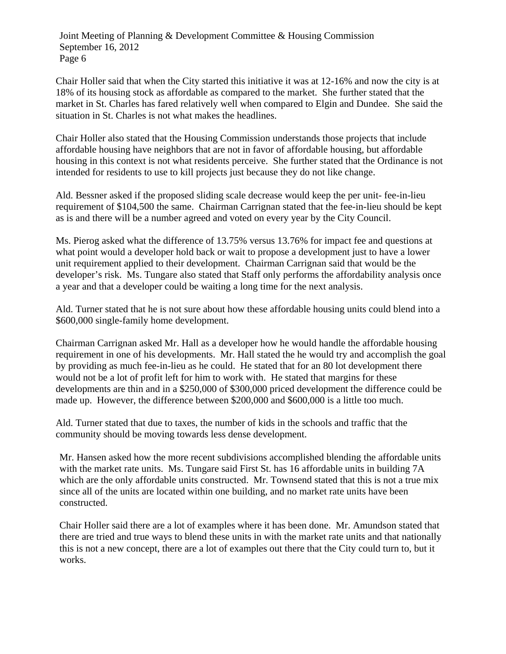Chair Holler said that when the City started this initiative it was at 12-16% and now the city is at 18% of its housing stock as affordable as compared to the market. She further stated that the market in St. Charles has fared relatively well when compared to Elgin and Dundee. She said the situation in St. Charles is not what makes the headlines.

Chair Holler also stated that the Housing Commission understands those projects that include affordable housing have neighbors that are not in favor of affordable housing, but affordable housing in this context is not what residents perceive. She further stated that the Ordinance is not intended for residents to use to kill projects just because they do not like change.

Ald. Bessner asked if the proposed sliding scale decrease would keep the per unit- fee-in-lieu requirement of \$104,500 the same. Chairman Carrignan stated that the fee-in-lieu should be kept as is and there will be a number agreed and voted on every year by the City Council.

Ms. Pierog asked what the difference of 13.75% versus 13.76% for impact fee and questions at what point would a developer hold back or wait to propose a development just to have a lower unit requirement applied to their development. Chairman Carrignan said that would be the developer's risk. Ms. Tungare also stated that Staff only performs the affordability analysis once a year and that a developer could be waiting a long time for the next analysis.

Ald. Turner stated that he is not sure about how these affordable housing units could blend into a \$600,000 single-family home development.

Chairman Carrignan asked Mr. Hall as a developer how he would handle the affordable housing requirement in one of his developments. Mr. Hall stated the he would try and accomplish the goal by providing as much fee-in-lieu as he could. He stated that for an 80 lot development there would not be a lot of profit left for him to work with. He stated that margins for these developments are thin and in a \$250,000 of \$300,000 priced development the difference could be made up. However, the difference between \$200,000 and \$600,000 is a little too much.

Ald. Turner stated that due to taxes, the number of kids in the schools and traffic that the community should be moving towards less dense development.

Mr. Hansen asked how the more recent subdivisions accomplished blending the affordable units with the market rate units. Ms. Tungare said First St. has 16 affordable units in building 7A which are the only affordable units constructed. Mr. Townsend stated that this is not a true mix since all of the units are located within one building, and no market rate units have been constructed.

Chair Holler said there are a lot of examples where it has been done. Mr. Amundson stated that there are tried and true ways to blend these units in with the market rate units and that nationally this is not a new concept, there are a lot of examples out there that the City could turn to, but it works.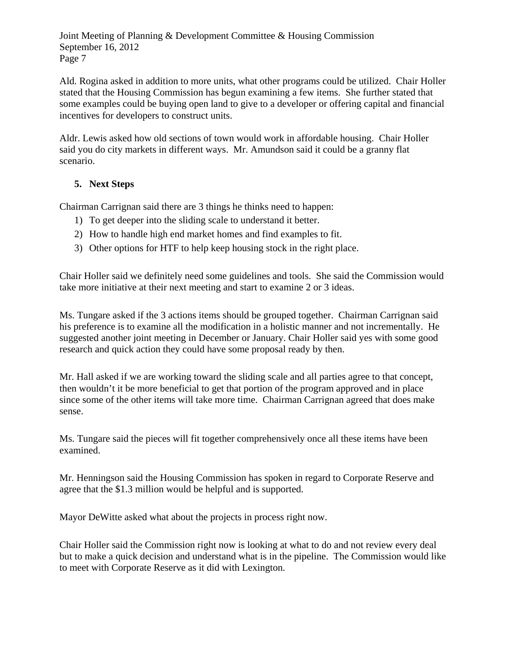Ald. Rogina asked in addition to more units, what other programs could be utilized. Chair Holler stated that the Housing Commission has begun examining a few items. She further stated that some examples could be buying open land to give to a developer or offering capital and financial incentives for developers to construct units.

Aldr. Lewis asked how old sections of town would work in affordable housing. Chair Holler said you do city markets in different ways. Mr. Amundson said it could be a granny flat scenario.

### **5. Next Steps**

Chairman Carrignan said there are 3 things he thinks need to happen:

- 1) To get deeper into the sliding scale to understand it better.
- 2) How to handle high end market homes and find examples to fit.
- 3) Other options for HTF to help keep housing stock in the right place.

Chair Holler said we definitely need some guidelines and tools. She said the Commission would take more initiative at their next meeting and start to examine 2 or 3 ideas.

Ms. Tungare asked if the 3 actions items should be grouped together. Chairman Carrignan said his preference is to examine all the modification in a holistic manner and not incrementally. He suggested another joint meeting in December or January. Chair Holler said yes with some good research and quick action they could have some proposal ready by then.

Mr. Hall asked if we are working toward the sliding scale and all parties agree to that concept, then wouldn't it be more beneficial to get that portion of the program approved and in place since some of the other items will take more time. Chairman Carrignan agreed that does make sense.

Ms. Tungare said the pieces will fit together comprehensively once all these items have been examined.

Mr. Henningson said the Housing Commission has spoken in regard to Corporate Reserve and agree that the \$1.3 million would be helpful and is supported.

Mayor DeWitte asked what about the projects in process right now.

Chair Holler said the Commission right now is looking at what to do and not review every deal but to make a quick decision and understand what is in the pipeline. The Commission would like to meet with Corporate Reserve as it did with Lexington.